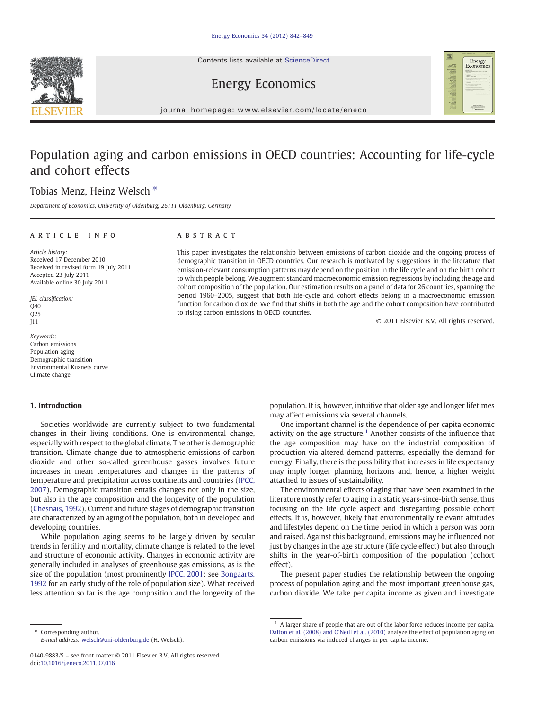Contents lists available at ScienceDirect





## Energy Economics

journal homepage: www.elsevier.com/locate/eneco

# Population aging and carbon emissions in OECD countries: Accounting for life-cycle and cohort effects

## Tobias Menz, Heinz Welsch<sup>\*</sup>

Department of Economics, University of Oldenburg, 26111 Oldenburg, Germany

### ARTICLE INFO ABSTRACT

Article history: Received 17 December 2010 Received in revised form 19 July 2011 Accepted 23 July 2011 Available online 30 July 2011

JEL classification:  $040$ Q25 J11

Keywords: Carbon emissions Population aging Demographic transition Environmental Kuznets curve Climate change

#### 1. Introduction

Societies worldwide are currently subject to two fundamental changes in their living conditions. One is environmental change, especially with respect to the global climate. The other is demographic transition. Climate change due to atmospheric emissions of carbon dioxide and other so-called greenhouse gasses involves future increases in mean temperatures and changes in the patterns of temperature and precipitation across continents and countries ([IPCC,](#page--1-0) [2007\)](#page--1-0). Demographic transition entails changes not only in the size, but also in the age composition and the longevity of the population [\(Chesnais, 1992\)](#page--1-0). Current and future stages of demographic transition are characterized by an aging of the population, both in developed and developing countries.

While population aging seems to be largely driven by secular trends in fertility and mortality, climate change is related to the level and structure of economic activity. Changes in economic activity are generally included in analyses of greenhouse gas emissions, as is the size of the population (most prominently [IPCC, 2001](#page--1-0); see [Bongaarts,](#page--1-0) [1992](#page--1-0) for an early study of the role of population size). What received less attention so far is the age composition and the longevity of the

⁎ Corresponding author. E-mail address: [welsch@uni-oldenburg.de](mailto:welsch@uni-oldenburg.de) (H. Welsch).

This paper investigates the relationship between emissions of carbon dioxide and the ongoing process of demographic transition in OECD countries. Our research is motivated by suggestions in the literature that emission-relevant consumption patterns may depend on the position in the life cycle and on the birth cohort to which people belong. We augment standard macroeconomic emission regressions by including the age and cohort composition of the population. Our estimation results on a panel of data for 26 countries, spanning the period 1960–2005, suggest that both life-cycle and cohort effects belong in a macroeconomic emission function for carbon dioxide. We find that shifts in both the age and the cohort composition have contributed to rising carbon emissions in OECD countries.

© 2011 Elsevier B.V. All rights reserved.

population. It is, however, intuitive that older age and longer lifetimes may affect emissions via several channels.

One important channel is the dependence of per capita economic activity on the age structure.<sup>1</sup> Another consists of the influence that the age composition may have on the industrial composition of production via altered demand patterns, especially the demand for energy. Finally, there is the possibility that increases in life expectancy may imply longer planning horizons and, hence, a higher weight attached to issues of sustainability.

The environmental effects of aging that have been examined in the literature mostly refer to aging in a static years-since-birth sense, thus focusing on the life cycle aspect and disregarding possible cohort effects. It is, however, likely that environmentally relevant attitudes and lifestyles depend on the time period in which a person was born and raised. Against this background, emissions may be influenced not just by changes in the age structure (life cycle effect) but also through shifts in the year-of-birth composition of the population (cohort effect).

The present paper studies the relationship between the ongoing process of population aging and the most important greenhouse gas, carbon dioxide. We take per capita income as given and investigate

<sup>0140-9883/\$</sup> – see front matter © 2011 Elsevier B.V. All rights reserved. doi[:10.1016/j.eneco.2011.07.016](http://dx.doi.org/10.1016/j.eneco.2011.07.016)

 $1$  A larger share of people that are out of the labor force reduces income per capita. [Dalton et al. \(2008\) and O'Neill et al. \(2010\)](#page--1-0) analyze the effect of population aging on carbon emissions via induced changes in per capita income.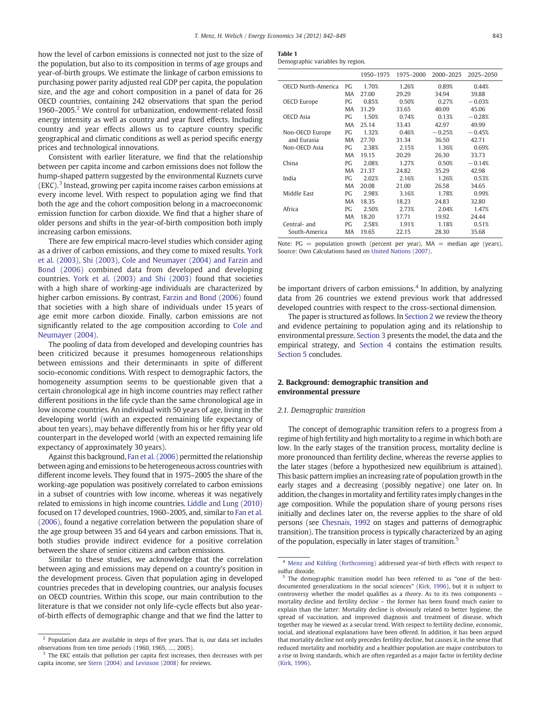how the level of carbon emissions is connected not just to the size of the population, but also to its composition in terms of age groups and year-of-birth groups. We estimate the linkage of carbon emissions to purchasing power parity adjusted real GDP per capita, the population size, and the age and cohort composition in a panel of data for 26 OECD countries, containing 242 observations that span the period 1960–2005.<sup>2</sup> We control for urbanization, endowment-related fossil energy intensity as well as country and year fixed effects. Including country and year effects allows us to capture country specific geographical and climatic conditions as well as period specific energy prices and technological innovations.

Consistent with earlier literature, we find that the relationship between per capita income and carbon emissions does not follow the hump-shaped pattern suggested by the environmental Kuznets curve  $(EKC).$ <sup>3</sup> Instead, growing per capita income raises carbon emissions at every income level. With respect to population aging we find that both the age and the cohort composition belong in a macroeconomic emission function for carbon dioxide. We find that a higher share of older persons and shifts in the year-of-birth composition both imply increasing carbon emissions.

There are few empirical macro-level studies which consider aging as a driver of carbon emissions, and they come to mixed results. [York](#page--1-0) [et al. \(2003\), Shi \(2003\), Cole and Neumayer \(2004\) and Farzin and](#page--1-0) [Bond \(2006\)](#page--1-0) combined data from developed and developing countries. [York et al. \(2003\) and Shi \(2003\)](#page--1-0) found that societies with a high share of working-age individuals are characterized by higher carbon emissions. By contrast, [Farzin and Bond \(2006\)](#page--1-0) found that societies with a high share of individuals under 15 years of age emit more carbon dioxide. Finally, carbon emissions are not significantly related to the age composition according to [Cole and](#page--1-0) [Neumayer \(2004\).](#page--1-0)

The pooling of data from developed and developing countries has been criticized because it presumes homogeneous relationships between emissions and their determinants in spite of different socio-economic conditions. With respect to demographic factors, the homogeneity assumption seems to be questionable given that a certain chronological age in high income countries may reflect rather different positions in the life cycle than the same chronological age in low income countries. An individual with 50 years of age, living in the developing world (with an expected remaining life expectancy of about ten years), may behave differently from his or her fifty year old counterpart in the developed world (with an expected remaining life expectancy of approximately 30 years).

Against this background, [Fan et al. \(2006\)](#page--1-0) permitted the relationship between aging and emissions to be heterogeneous across countries with different income levels. They found that in 1975–2005 the share of the working-age population was positively correlated to carbon emissions in a subset of countries with low income, whereas it was negatively related to emissions in high income countries. [Liddle and Lung \(2010\)](#page--1-0) focused on 17 developed countries, 1960–2005, and, similar to [Fan et al.](#page--1-0) [\(2006\)](#page--1-0), found a negative correlation between the population share of the age group between 35 and 64 years and carbon emissions. That is, both studies provide indirect evidence for a positive correlation between the share of senior citizens and carbon emissions.

Similar to these studies, we acknowledge that the correlation between aging and emissions may depend on a country's position in the development process. Given that population aging in developed countries precedes that in developing countries, our analysis focuses on OECD countries. Within this scope, our main contribution to the literature is that we consider not only life-cycle effects but also yearof-birth effects of demographic change and that we find the latter to

| Demographic variables by region. |  |  |  |
|----------------------------------|--|--|--|
|----------------------------------|--|--|--|

|                           |    | 1950-1975 | 1975-2000 | 2000-2025 | 2025-2050 |
|---------------------------|----|-----------|-----------|-----------|-----------|
| <b>OECD North-America</b> | PG | 1.70%     | 1.26%     | 0.89%     | 0.44%     |
|                           | MA | 27.00     | 29.29     | 34.94     | 39.88     |
| OECD Europe               | PG | 0.85%     | 0.50%     | 0.27%     | $-0.03%$  |
|                           | MA | 31.29     | 33.65     | 40.09     | 45.06     |
| <b>OECD</b> Asia          | PG | 1.50%     | 0.74%     | 0.13%     | $-0.28%$  |
|                           | MA | 25.14     | 33.43     | 42.97     | 49.99     |
| Non-OECD Europe           | PG | 1.32%     | 0.46%     | $-0.25%$  | $-0.45%$  |
| and Eurasia               | MA | 27.70     | 31.34     | 36.50     | 42.71     |
| Non-OECD Asia             | PG | 2.38%     | 2.15%     | 1.36%     | 0.69%     |
|                           | MA | 19.15     | 20.29     | 26.30     | 33.73     |
| China                     | PG | 2.08%     | 1.27%     | 0.50%     | $-0.14%$  |
|                           | MA | 21.37     | 24.82     | 35.29     | 42.98     |
| India                     | PG | 2.02%     | 2.16%     | 1.26%     | 0.53%     |
|                           | MA | 20.08     | 21.00     | 26.58     | 34.65     |
| Middle East               | PG | 2.98%     | 3.16%     | 1.78%     | 0.99%     |
|                           | MA | 18.35     | 18.23     | 24.83     | 32.80     |
| Africa                    | PG | 2.50%     | 2.73%     | 2.04%     | 1.47%     |
|                           | MA | 18.20     | 17.71     | 19.92     | 24.44     |
| Central- and              | PG | 2.58%     | 1.91%     | 1.18%     | 0.51%     |
| South-America             | MA | 19.65     | 22.15     | 28.30     | 35.68     |

Note:  $PG = population$  growth (percent per year),  $MA = median$  age (years). Source: Own Calculations based on [United Nations \(2007\)](#page--1-0).

be important drivers of carbon emissions. $4$  In addition, by analyzing data from 26 countries we extend previous work that addressed developed countries with respect to the cross-sectional dimension.

The paper is structured as follows. In Section 2 we review the theory and evidence pertaining to population aging and its relationship to environmental pressure. [Section 3](#page--1-0) presents the model, the data and the empirical strategy, and [Section 4](#page--1-0) contains the estimation results. [Section 5](#page--1-0) concludes.

#### 2. Background: demographic transition and environmental pressure

#### 2.1. Demographic transition

The concept of demographic transition refers to a progress from a regime of high fertility and high mortality to a regime in which both are low. In the early stages of the transition process, mortality decline is more pronounced than fertility decline, whereas the reverse applies to the later stages (before a hypothesized new equilibrium is attained). This basic pattern implies an increasing rate of population growth in the early stages and a decreasing (possibly negative) one later on. In addition, the changes in mortality and fertility rates imply changes in the age composition. While the population share of young persons rises initially and declines later on, the reverse applies to the share of old persons (see [Chesnais, 1992](#page--1-0) on stages and patterns of demographic transition). The transition process is typically characterized by an aging of the population, especially in later stages of transition.<sup>5</sup>

 $2$  Population data are available in steps of five years. That is, our data set includes observations from ten time periods (1960, 1965, …, 2005).

<sup>&</sup>lt;sup>3</sup> The EKC entails that pollution per capita first increases, then decreases with per capita income, see [Stern \(2004\) and Levinson \(2008\)](#page--1-0) for reviews.

<sup>4</sup> [Menz and Kühling \(forthcoming\)](#page--1-0) addressed year-of birth effects with respect to sulfur dioxide.

<sup>5</sup> The demographic transition model has been referred to as "one of the bestdocumented generalizations in the social sciences" [\(Kirk, 1996\)](#page--1-0), but it is subject to controversy whether the model qualifies as a theory. As to its two components – mortality decline and fertility decline – the former has been found much easier to explain than the latter: Mortality decline is obviously related to better hygiene, the spread of vaccination, and improved diagnosis and treatment of disease, which together may be viewed as a secular trend. With respect to fertility decline, economic, social, and ideational explanations have been offered. In addition, it has been argued that mortality decline not only precedes fertility decline, but causes it, in the sense that reduced mortality and morbidity and a healthier population are major contributors to a rise in living standards, which are often regarded as a major factor in fertility decline [\(Kirk, 1996\)](#page--1-0).